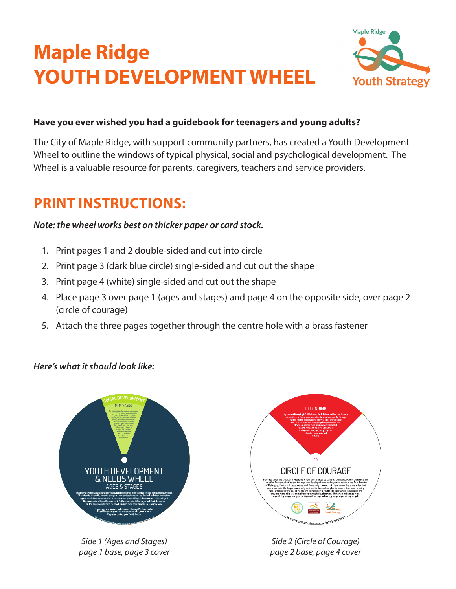# **Maple Ridge YOUTH DEVELOPMENT WHEEL**



#### **Have you ever wished you had a guidebook for teenagers and young adults?**

The City of Maple Ridge, with support community partners, has created a Youth Development Wheel to outline the windows of typical physical, social and psychological development. The Wheel is a valuable resource for parents, caregivers, teachers and service providers.

## **PRINT INSTRUCTIONS:**

#### *Note: the wheel works best on thicker paper or card stock.*

- 1. Print pages 1 and 2 double-sided and cut into circle
- 2. Print page 3 (dark blue circle) single-sided and cut out the shape
- 3. Print page 4 (white) single-sided and cut out the shape
- 4. Place page 3 over page 1 (ages and stages) and page 4 on the opposite side, over page 2 (circle of courage)
- 5. Attach the three pages together through the centre hole with a brass fastener

#### *Here's what it should look like:*



2016-09-21 12:59 PM *Side 1 (Ages and Stages) page 1 base, page 3 cover*



*Side 2 (Circle of Courage) page 2 base, page 4 cover*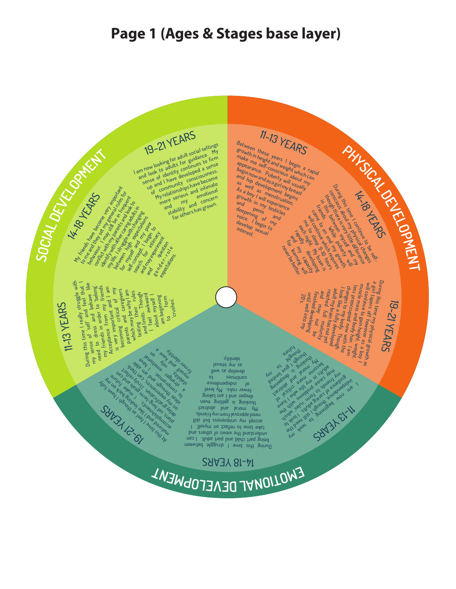### **Page 1 (Ages & Stages base layer)**

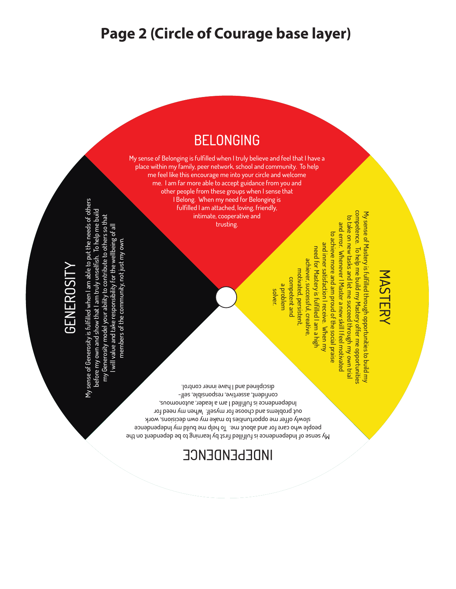#### **Page 2 (Circle of Courage base layer)**

#### BELONGING

My sense of Belonging is fulfilled when I truly believe and feel that I have a place within my family, peer network, school and community. To help me feel like this encourage me into your circle and welcome me. I am far more able to accept guidance from you and other people from these groups when I sense that I Belong. When my need for Belonging is fulfilled I am attached, loving, friendly, intimate, cooperative and trusting.

My sense of Generosity is fulfilled when I am able to put the needs of others Yy sense of Generosity is fulfilled when I am able to put the needs of others before my own and show that I am truly unselfish. To help me build before my own and show that I am truly unselfish. To help me build my Generosity model your ability to contribute to others so that my Generosity model your ability to contribute to others so that I will value and take responsibility for the wellbeing of all I will value and take responsibility for the wellbeing of all members of the community, not just my own. members of the community, not just my own.

GENEROSITY

**GENEROSIT** 

My sense of Mastery is fulfilled through opportunities to build my<br>competence. To help me build my Mastery offer me opportunities competence. To help me build my Mastery offer me opportunities My sense of Mastery is fulfilled through opportunities to build my to take on new tasks and let me succeed through my own tria to take on new tasks and let me succeed through my own trial and error. Whenever I Master a new skill I feel motivated and error. Whenever I Master a new skill I feel motivated to achieve more and am proud of the social praise to achieve more and am proud of the social praise and inner satisfaction I receive. When my and inner satisfaction I receive. When my need for Mastery is fulfilled I am a high need for Mastery is fulfilled I am a high achiever, successful, creative, achiever, successful, creative, motivated, persistent motivated, persistent, competent and competent and a problem

solver.

My sense of Independence is fulfilled first by learning to be dependent on the people who care for and about me. To help me build my Independence slowly offer me opportunities to make my own decisions, work out problems and choose for myself. When my need for Independence is fulfilled I am a leader, autonomous, confident, assertive, responsible, selfdisciplined and I have inner control.

INDEPENDENCE

MASTERY MASTERY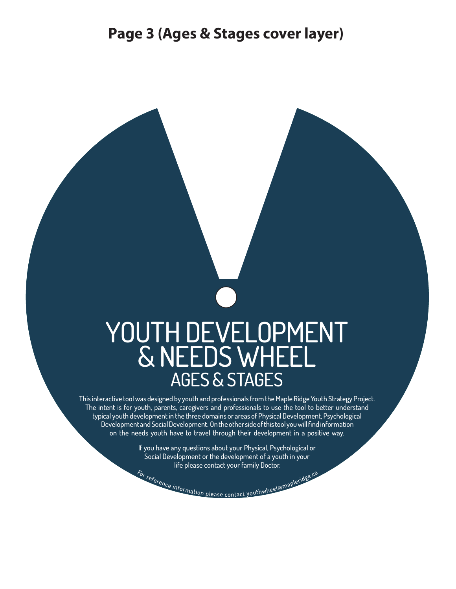# YOUTH DEVELOPMENT & NEEDS WHEEL AGES & STAGES

This interactive tool was designed by youth and professionals from the Maple Ridge Youth Strategy Project. The intent is for youth, parents, caregivers and professionals to use the tool to better understand typical youth development in the three domains or areas of Physical Development, Psychological Development and Social Development. On the other side of this tool you will find information on the needs youth have to travel through their development in a positive way.

> For reference information please contact youthwheel@mapleridge.ca If you have any questions about your Physical, Psychological or Social Development or the development of a youth in your life please contact your family Doctor.